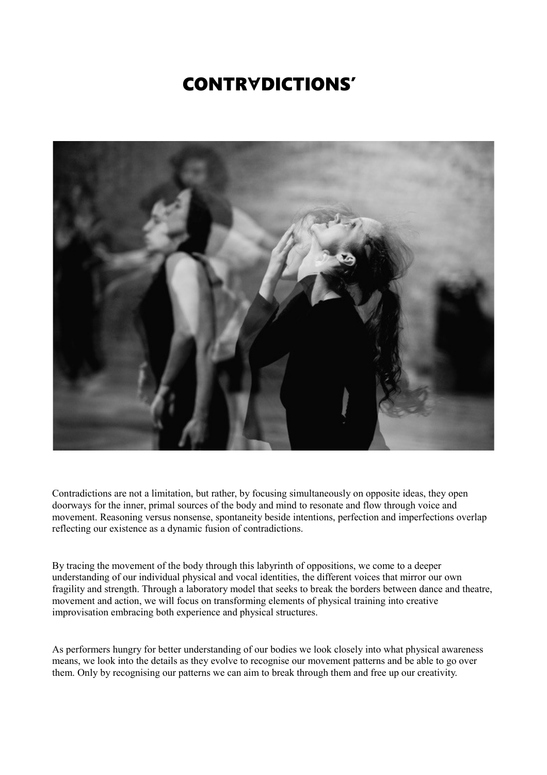## **CONTRYDICTIONS'**



Contradictions are not a limitation, but rather, by focusing simultaneously on opposite ideas, they open doorways for the inner, primal sources of the body and mind to resonate and flow through voice and movement. Reasoning versus nonsense, spontaneity beside intentions, perfection and imperfections overlap reflecting our existence as a dynamic fusion of contradictions.

By tracing the movement of the body through this labyrinth of oppositions, we come to a deeper understanding of our individual physical and vocal identities, the different voices that mirror our own fragility and strength. Through a laboratory model that seeks to break the borders between dance and theatre, movement and action, we will focus on transforming elements of physical training into creative improvisation embracing both experience and physical structures.

As performers hungry for better understanding of our bodies we look closely into what physical awareness means, we look into the details as they evolve to recognise our movement patterns and be able to go over them. Only by recognising our patterns we can aim to break through them and free up our creativity.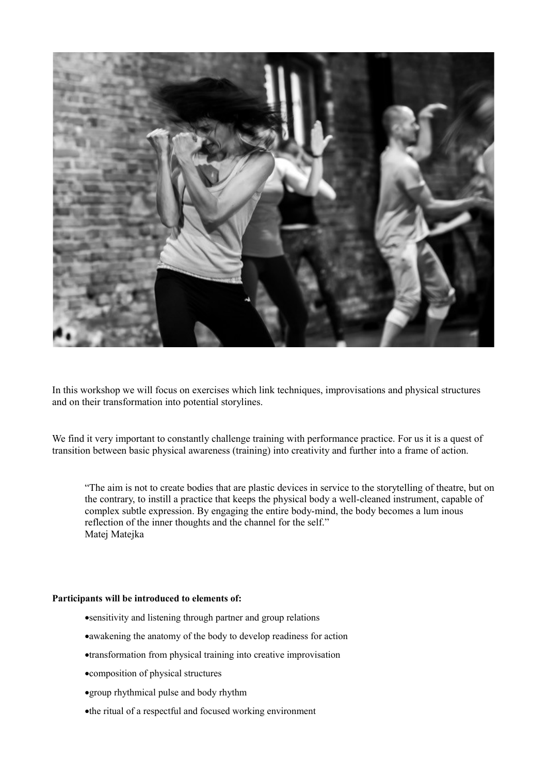

In this workshop we will focus on exercises which link techniques, improvisations and physical structures and on their transformation into potential storylines.

We find it very important to constantly challenge training with performance practice. For us it is a quest of transition between basic physical awareness (training) into creativity and further into a frame of action.

"The aim is not to create bodies that are plastic devices in service to the storytelling of theatre, but on the contrary, to instill a practice that keeps the physical body a well-cleaned instrument, capable of complex subtle expression. By engaging the entire body-mind, the body becomes a lum inous reflection of the inner thoughts and the channel for the self." Matej Matejka

## **Participants will be introduced to elements of:**

- sensitivity and listening through partner and group relations
- awakening the anatomy of the body to develop readiness for action
- transformation from physical training into creative improvisation
- composition of physical structures
- group rhythmical pulse and body rhythm
- the ritual of a respectful and focused working environment